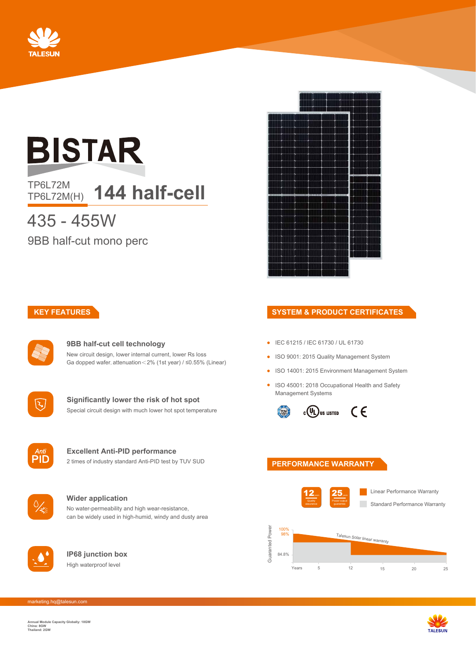

# **BISTAR**

TP6L72M<br>TP6L72M(H) **144 half-cell** 

## 435 - 455W

9BB half-cut mono perc



#### **9BB half-cut cell technology** New circuit design, lower internal current, lower Rs loss Ga dopped wafer, attenuation<2% (1st year) / ≤0.55% (Linear)



**Significantly lower the risk of hot spot** Special circuit design with much lower hot spot temperature



#### **Excellent Anti-PID performance** 2 times of industry standard Anti-PID test by TUV SUD



## **Wider application**

No water-permeability and high wear-resistance, can be widely used in high-humid, windy and dusty area



**IP68 junction box** High waterproof level



## **KEY FEATURES SYSTEM & PRODUCT CERTIFICATES**

- IEC 61215 / IEC 61730 / UL 61730
- ISO 9001: 2015 Quality Management System
- ISO 14001: 2015 Environment Management System
- ISO 45001: 2018 Occupational Health and Safety Management Systems



#### **PERFORMANCE WARRANTY**



Years 5 12 15 20 25

marketing.hq@talesun.com